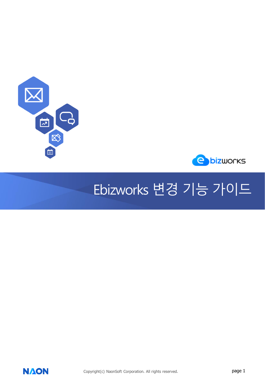



## Ebizworks 변경 기능 가이드



Copyright(c) NaonSoft Corporation. All rights reserved. **page 1**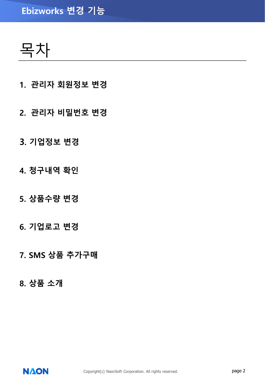### **Ebizworks 변경 기능**

목차

- **1. 관리자 회원정보 변경**
- **2. 관리자 비밀번호 변경**
- **3. 기업정보 변경**
- **4. 청구내역 확인**
- **5. 상품수량 변경**
- **6. 기업로고 변경**
- **7. SMS 상품 추가구매**
- **8. 상품 소개**

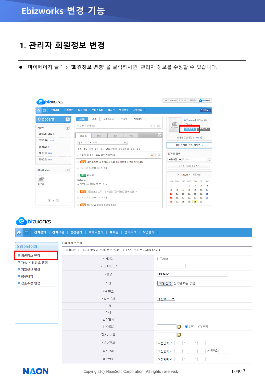#### **1. 관리자 회원정보 변경**

⚫ 마이페이지 클릭 > '**회원정보 변경**' 을 클릭하시면 관리자 정보를 수정할 수 있습니다.

| 市<br>전자결재<br>전자우편   일정관리   오피스폴더   게시판   업무보고   작업관리  <br>ńп)<br>Clipboard<br>글작성<br>오피스폴더<br>연락처<br>자원예약<br>$\circ$<br>SMS<br>向<br>영진11 -<br>내용을 작성하세요.<br>☆ ↓ ◎<br>$\circledS$<br>카운터<br>NO IMAGE<br>로그마옷<br>마이페이지<br>읽지않은 메일 1<br>$\mathbb{C}$<br>관심<br>내급<br>포스트<br><b>RSS</b><br>페이지 갱신시간 11:04 C<br>결재할문서 140<br>전체<br>▼ 제목<br>Q | SKTdemo님 로그아웃 > 관리자<br><b>C</b> bizworks | <b>bizworks</b> |
|----------------------------------------------------------------------------------------------------------------------------------------------------------------------------------------------------------------------------------------------------------------------------------------------------------------------------------------|------------------------------------------|-----------------|
|                                                                                                                                                                                                                                                                                                                                        | 전체메뉴 *                                   |                 |
|                                                                                                                                                                                                                                                                                                                                        | SKTdemo님 반감습니다.                          |                 |
|                                                                                                                                                                                                                                                                                                                                        |                                          |                 |
| 결재열람 1<br>쪽지 결재 공지 관심계시 @ 관심문서 @ 일정 설문<br>전체 메일<br>기안진행 184<br>임직원 검색<br>$\equiv 0$ @<br>* 1개월이 지난 포스트는 자동 삭제됩니다.                                                                                                                                                                                                                      | 기업관리자 관리 사이트 >                           |                 |
| 사용자명 ↓<br>검색어<br>결재진행 164<br>☆ <mark>메일</mark> 나온소프트 고객지원시스템 [처리완료] 안내 드립니다<br>임직원 주소록 바로가기<br>by naonsoft [2020.07.30 10:40]<br>$\circledS$<br>Click2More                                                                                                                                                                             | $\mathbb{Q}$                             |                 |
| < 2020.7 ▶ 오늘<br>☆ 至지 123123<br>e.<br>123123123<br><b>SUN</b><br><b>MON</b><br><b>TUE</b><br><b>WED</b><br><b>THU</b><br><b>FRI</b><br>열린강좌<br>by SKTdemo [2020.07.29 18:13]<br>3<br>1<br>2                                                                                                                                            | SAT<br>4                                 |                 |
| 7<br>8<br>9<br>10<br>5<br>6<br>☆ 메일 나온소프트 고객지원시스템 [접수완료] 안내 드립니다.<br>17<br>13<br>15<br>12<br>14<br>16<br>by naonsoft [2020.07.29 18:10]<br>19<br>20<br>21<br>22<br>23<br>24<br>$\leftarrow$ $\leftarrow$ $\leftarrow$<br>30<br>27<br>28<br>29<br>31<br>26<br>$\left  \frac{1}{2} \right $ seqwon@@@@@@@@@@@@@@                         | 11<br>18<br>25                           |                 |

#### **e** bizworks

| 命百                  | 전자결재   전자우편   일정관리   오피스폴더   게시판   업무보고   작업관리  |                                                                |
|---------------------|-------------------------------------------------|----------------------------------------------------------------|
|                     | Ⅰ 회원정보수정                                        |                                                                |
| > 마이페이지             | • 아이디는 3~33자의 영문과 숫자, 특수문자(_-,) 조합으로 이루어져야 합니다. |                                                                |
| ■ 회원정보 변경           | * 아이디                                           | SKTdemo                                                        |
| ■ Tbiz 비밀번호 변경      | * 기존 비밀번호                                       |                                                                |
| ■ 기업정보 변경<br>■ 청구내역 | *성명                                             | SKTdemo                                                        |
| ■ 상품수량 변경           | 사진                                              | 파일 선택   선택된 파일 없음                                              |
|                     | 사원변호                                            |                                                                |
|                     | * 소속부서                                          | 영진11<br>$\mathbf{\check{v}}$                                   |
|                     | 직위                                              |                                                                |
|                     | 직책                                              |                                                                |
|                     | 입사일자                                            |                                                                |
|                     | 생년월일                                            | 閨<br>$\bigcirc$ 양력 $\bigcirc$ 음력                               |
|                     | 결혼기념일                                           | Ü                                                              |
|                     | * 휴대전화                                          | 직접입력 ❤<br>$\qquad \qquad$                                      |
|                     | 회사전화                                            | 내선번호<br>직접입력 ❤<br>$\overline{\phantom{a}}$                     |
|                     | 팩스번호                                            | 직접입력 ❤<br>$\overline{\phantom{a}}$<br>$\overline{\phantom{a}}$ |

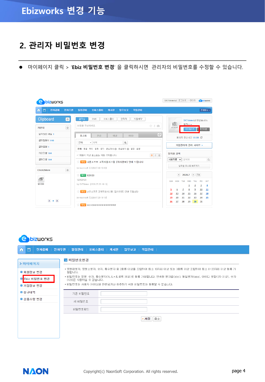#### **2. 관리자 비밀번호 변경**

⚫ 마이페이지 클릭 > '**Ebiz 비밀번호 변경**' 을 클릭하시면 관리자의 비밀번호를 수정할 수 있습니다.

| <b>bizworks</b>                               |                                                                               | SKTdemo님 로그아웃 > 관리자<br><b>O</b> bizworks                                                                                                       |
|-----------------------------------------------|-------------------------------------------------------------------------------|------------------------------------------------------------------------------------------------------------------------------------------------|
| 青<br>전자결재<br>전자우편  <br>fпì                    | 일정관리   오피스폴더   게시판   업무보고   작업관리                                              | 전체메뉴 *                                                                                                                                         |
| Clipboard<br>$\bigcirc$<br>$\circledS$<br>카운터 | 연락처<br>자원예약<br>글작성<br>오피스폴더<br>SMS<br>내용을 작성하세요.<br>☆ ↓ ◎                     | SKTdemo님 반갑습니다.<br>向<br>영진11 -<br>NO IMAGE<br>로그아웃<br>마이페이지<br>ш                                                                               |
| 읽지않은 메일 1<br>결재할문서 140                        | C <br>포스트<br>관심<br>내글<br><b>RSS</b><br>▼ 제목<br>저체<br>Q                        | 페이지 갱신시간 11:04 C                                                                                                                               |
| 결재열람 1<br>기안진행 184                            | 전체 메일 쪽지 결재 공지 관심게시 ◎ 관심문서 ◎ 일정 설문                                            | 기업관리자 관리 사이트 >                                                                                                                                 |
| 결재진행 164                                      | * 1개월이 지난 포스트는 자동 삭제됩니다.<br>$\equiv 0$ @<br>☆ 메일 나온소프트 고객지원시스템 [처리완료] 안내 드립니다 | 임직원 검색<br>$\mathbb{Q}$<br>사용자명 v<br>검색어                                                                                                        |
| $\circledS$<br>Click2More                     | by naonsoft [2020.07.30 10:40]<br>☆ 至지 123123                                 | 임직원 주소록 바로가기<br>$\left  \left( \right  2020.7 \right  2 \equiv \right $                                                                        |
| r P<br>열린강좌                                   | 123123123<br>by SKTdemo [2020.07.29 18:13]                                    | <b>MON</b><br><b>TUE</b><br><b>FRT</b><br>SAT<br><b>SUN</b><br><b>WED</b><br><b>THU</b><br>$\overline{\mathbf{3}}$<br>1<br>$\overline{2}$<br>4 |
|                                               | ☆ 메일 나온소프트 고객지원시스템 [접수완료] 안내 드립니다<br>by naonsoft [2020.07.29 18:10]           | 5<br>z<br>8<br>10<br>6<br>9<br>11<br>13<br>15<br>17<br>18<br>12<br>14<br>16<br>25<br>19<br>20<br>21<br>22<br>23<br>24                          |
| $\leftarrow$ $\leftarrow$ $\rightarrow$       | ☆ HP seawon@@@@@@@@@@@@@                                                      | 30<br>27<br>28<br>29<br>31<br>26                                                                                                               |

#### **e** bizworks

| 6<br>전자결재<br>命                           | 전자우편  <br>일정관리 ㅣ 오피스폴더 ㅣ 게시판 ㅣ 업무보고 ㅣ 작업관리                                                                                                                                                                                                                            |
|------------------------------------------|-----------------------------------------------------------------------------------------------------------------------------------------------------------------------------------------------------------------------------------------------------------------------|
| > 마이페이지                                  | ◙ 비밀번호변경                                                                                                                                                                                                                                                              |
| ■ 회원정보 변경<br>■ Tbiz 비밀번호 변경<br>■ 기업정보 변경 | • 영문대문자, 영문소문자, 숫자, 특수문자 중 2종류 이상을 조합하여 최소 10자리 이상 또는 3종류 이상 조합하여 최소 8~20자리 이상 등록 가<br>능합니다.<br>• 비밀번호는 영문, 숫자, 특수문자(%,&,=,\$,공백 제외)로 등록 가능합니다. 연속된 문자열(abc), 동일문자(aaa), 아이디 포함(3자 이상), 숫자<br>(123)은 사용하실 수 없습니다.<br>• 비밀번호는 사용자 아이디와 관련되거나 유추하기 쉬운 비밀번호는 등록할 수 없습니다. |
| ■ 청구내역                                   | 기존 비밀변호                                                                                                                                                                                                                                                               |
| ■ 상품수량 변경                                | 새 비밀변호                                                                                                                                                                                                                                                                |
|                                          | 비밀번호확인                                                                                                                                                                                                                                                                |
|                                          | ▶ 저장 │<br>취소                                                                                                                                                                                                                                                          |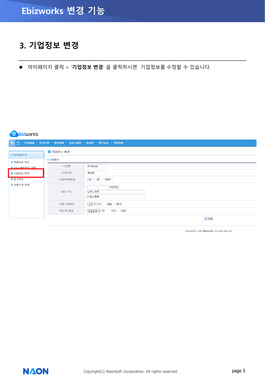#### **3. 기업정보 변경**

⚫ 마이페이지 클릭 > '**기업정보 변경**' 을 클릭하시면 기업정보를 수정할 수 있습니다.

#### **e** bizworks

| 命日             |           | 전자결재   전자우편   일정관리   오피스폴더   게시판   업무보고   작업관리 |
|----------------|-----------|------------------------------------------------|
| > 마이페이지        | ■ 기업정보 변경 |                                                |
| ■ 회원정보 변경      | ▌기업정보     |                                                |
| ■ Thiz 비밀버호 벼경 | * 기업명     | SKTdemo                                        |
| ■ 기업정보 변경      | * 대표자명    | 홍길동                                            |
| ■ 청구내역         | * 사업자등록번호 | 123<br>$-45 - 12345$                           |
| ■ 상품수량 변경      | 사업자 주소    | 우편번호<br>나온소프트<br>나온소프트                         |
|                | * 대표 전화번호 | $-9292$<br>$-10415$<br> 선택 ▼   010             |
|                | 대표 팩스번호   | $-$ 0101 $-$ 0202<br> 직접입력 ▼   02              |
|                |           | 日 수정                                           |

Copyright(c) 2020 Ebizworks. All rights reserved.

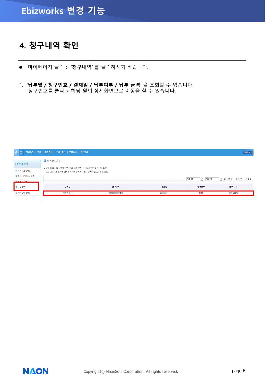## **Ebizworks 변경 기능**

#### **4. 청구내역 확인**

- ⚫ 마이페이지 클릭 > '**청구내역**' 를 클릭하시기 바랍니다.
- 1. '**납부월 / 청구번호 / 결재일 / 납부여부 / 납부 금액**' 을 조회할 수 있습니다. 청구번호를 클릭 > 해당 월의 상세화면으로 이동을 할 수 있습니다.

| 命 百               | 전자우편   쪽지   일정관리   오피스폴더   업무보고   작업관리                 |                |            |                                    | 전체매뉴 -                   |
|-------------------|--------------------------------------------------------|----------------|------------|------------------------------------|--------------------------|
| > 마이페이지           | ■ 청구내역 정보                                              |                |            |                                    |                          |
|                   | • 2020년 8월 01일 이전의 청구내역은 SKT 고객센터 1600-0990으로 문의해 주세요. |                |            |                                    |                          |
| ■ 회원정보 변경         | • 최초 구매 정보 및 선불 상품의 게정수 또는 용량 추가 내역만 조회할 수 있습니다.       |                |            |                                    |                          |
| ■ Tbiz 비밀번호 변경    |                                                        |                |            |                                    |                          |
| <b>CONTRACTOR</b> |                                                        |                |            | $\frac{1}{2}$ - 2020-07<br>2020-01 | 최근 1년<br>2검색<br>■ 최근 6개월 |
| ■ 청구내역            | 납부윌                                                    | 청구번호           | 결재일        | 납부여부                               | 납부 금액                    |
| ■ 상품수량 변경         | 2020년 06월                                              | 20069262885102 | 2020-07-20 | 미납                                 | 963,600 원                |

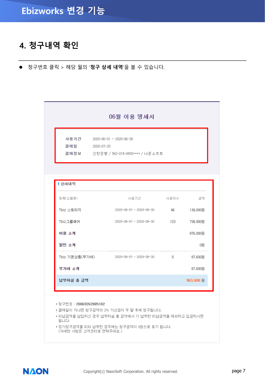#### **4. 청구내역 확인**

⚫ 청구번호 클릭 > 해당 월의 '**청구 상세 내역**'을 볼 수 있습니다.

| 06월 이용 명세서     |                                                                      |      |          |  |
|----------------|----------------------------------------------------------------------|------|----------|--|
| 결제일 2020-07-20 | 사용기간 2020-06-01 ~ 2020-06-30<br>결제정보 신한은행 / 562-014-8493**** / 나온소프트 |      |          |  |
| Ⅰ 상세내역         |                                                                      |      |          |  |
| 항목(싱품명)        | 사용기간                                                                 | 사용자수 | 금액       |  |
| Tbiz 스토리지      | 2020-06-01~2020-06-30 46 138,000원                                    |      |          |  |
|                |                                                                      |      |          |  |
| Tbiz그룹웨어       | 2020-06-01 ~ 2020-06-30                                              | 123  | 738,000원 |  |
| 이용 소계          |                                                                      |      | 876,000원 |  |
| 할인 소계          |                                                                      |      | 0원       |  |
|                | Tbiz 기본상품(부가세) _ _ _ _ 2020-06-01 ~ 2020-06-30                       | 0    | 87,600원  |  |
| 부가세 소계         |                                                                      |      | 87,600원  |  |

- 청구번호 : 20069262885102
- 결제일이 지나면 청구금액의 2% 가산금이 두 달 후에 청구됩니다.
- 미납금액을 납입하신 경우 납부하실 총 금액에서 기 납부한 미납금액을 제외하고 입금하시면 됩니다.
- 정기청구금액을 미리 납부한 경우에는 청구금액이 0원으로 표기 됩니다. (자세한 사항은 고객센터로 연락주세요.)

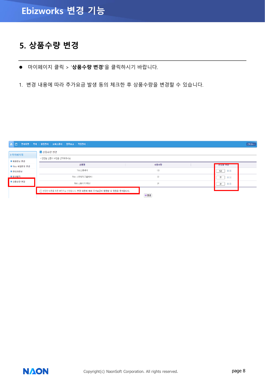#### **5. 상품수량 변경**

⚫ 마이페이지 클릭 > '**상품수량 변경'**을 클릭하시기 바랍니다.

1. 변경 내용에 따라 추가요금 발생 동의 체크한 후 상품수량을 변경할 수 있습니다.

| 命日             | 전자우편   쪽지   일정관리   오피스폴더   업무보고   작업관리                    |      |                    | 진체메뉴 v |
|----------------|-----------------------------------------------------------|------|--------------------|--------|
| > 마이페이지        | ■ 상품수량 변경                                                 |      |                    |        |
| ■ 회원정보 변경      | * 변경할 상품의 수량을 선택해주세요.                                     |      |                    |        |
| ■ Tbiz 비밀번호 변경 | 상품명                                                       | 사용수량 | 변경을 주용             |        |
| ■ 관리자정보        | Tbiz그룹웨어                                                  | 123  | $\Theta$<br>123    |        |
| ■ 청구내역         | Tbiz 스토리지(그룹웨어)                                           | 22   | $\mathbf{H}$<br>22 |        |
| ■ 상품수량 변경      | Tbiz 스토리지(메일)                                             | 24   | $\Theta$<br>24     |        |
|                | □ 변경한 내용을 최종 확인하고 신청합니다. 변경 내용에 따라 추가요금이 발생할 수 있음을 동의합니다. |      |                    |        |
|                |                                                           | 日변경  |                    |        |

**NAON**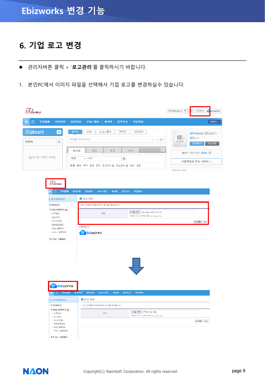### **6. 기업 로고 변경**

- ⚫ 관리자버튼 클릭 > '**로고관리**'를 클릭하시기 바랍니다.
- 1. 본인PC에서 이미지 파일을 선택해서 기업 로고를 변경하실수 있습니다.

| $\mathfrak{sl}_{d_{\mathsf{emo}}}$ |                                                                                                         |                                                                                                                                                                    | SKTdemo님 로그마 <mark>웃</mark> → 관리자<br>7G<br><b>bizworks</b>                                         |
|------------------------------------|---------------------------------------------------------------------------------------------------------|--------------------------------------------------------------------------------------------------------------------------------------------------------------------|----------------------------------------------------------------------------------------------------|
| 전자결재  <br>古                        | 전자우편                                                                                                    | 일정관리   오피스폴더   게시판  <br>업무보고  <br>작업관리                                                                                                                             | 진체메뉴 ×                                                                                             |
| Clipboard<br>카운터<br>◆ 잠시만 기다려 주세요. | $\circ$<br>$^{\circledR}$                                                                               | 연락처<br>글작성<br>오피스폴더<br>자원예약<br>SMS<br>내용을 작성하세요.<br>☆ 00<br>$\mathbf{C}$<br>관심<br>내글<br><b>RSS</b><br>포스트<br>전체<br>▼ 제목<br>Q<br>전체 메일 쪽지 결재 공지 관심게시 @ 관심문서 @ 일정 설문 | SKTdemo님 반갑습니다.<br>IÔ)<br>영진11*<br>NO IMAGE<br>마이페이지<br>로그마웃<br>페이지 갱신시간 19:06 C<br>기업관리자 관리 사이트 > |
|                                    | $\mathcal{J}_{\mathit{demo}}$<br><mark>∩</mark> ⊟ ਰੂਨ ਰੂਸ<br>> 관리자페이지<br>■ 문의하기<br>■ 처음 설정하기 図          | 전자우편   일정관리   오피스폴더   게시판   업무보고<br>작업관리  <br>■ 로고 관리<br>• 로그인화면과 메인화면의 로고를 설정합니다.                                                                                 | 0.710170                                                                                           |
|                                    | + 조직관리<br>• 로고관리<br>• 게시판관리<br>• 결재환경설정<br>• 메일 용량관리<br>• 서비스 용량관리<br>■ E biz 그룹웨어<br><b>e</b> bizworks | 파일 선택   logo_ebizworks (2).png<br>$\Xi$ <sub>2</sub><br>• 미미지 크기 130*45, 형식 gif, jpg, png<br> 미리보기<br><b>e</b> bizworks                                            | 日저장 취소                                                                                             |
|                                    | <mark>俞</mark> □ 진자결재 │ 진자우편                                                                            | 일정관리   오피스폴더   게시판  <br>입무보고   작업관리                                                                                                                                |                                                                                                    |
|                                    | > 관리자페이지<br>■ 문의하기                                                                                      | > 로고 관리<br>• 로그인화면과 메인화면의 로고를 설정합니다.                                                                                                                               |                                                                                                    |
|                                    | ■ 처음 설정하기 Ⅲ<br>◆ 조직관리<br>• 로고관리<br>• 게시판관리<br>• 결재환경설정<br>• 메일 용량관리<br>•서비스 용량관리                        | 파일 선택 선택된 파일 없음<br>$\Xi$ $\overline{\omega}$<br>• 미미지 크기 130*45, 형식 gif, jpg, png                                                                                  | 日저장 취소                                                                                             |
|                                    | ■ E biz 그룹웨어                                                                                            |                                                                                                                                                                    |                                                                                                    |

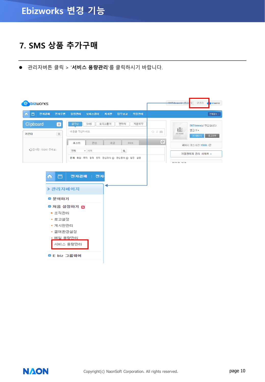#### **7. SMS 상품 추가구매**

⚫ 관리자버튼 클릭 > '**서비스 용량관리**'를 클릭하시기 바랍니다.



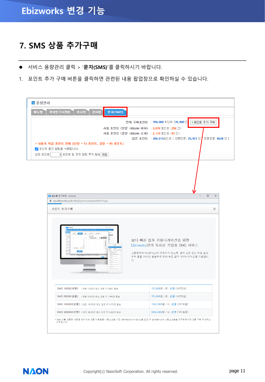#### **7. SMS 상품 추가구매**

- ⚫ 서비스 용량관리 클릭 > '**문자(SMS)'**를 클릭하시기 바랍니다.
- 1. 포인트 추가 구매 버튼을 클릭하면 관련된 내용 팝업창으로 확인하실 수 있습니다.

| 쪽지영구보관함<br>게시판<br>문서함<br>메뉴별<br>문자(SMS)<br>전체 구매포인트 : 390,000 포인트 [26,000 건<br>+포인트 추가 구매<br>사용 포인트 (단문 : 80byte 이하) : 3,870 포인트 (258 건)<br>사용 포인트 (장문 : 80byte 초과) : 2,115 포인트 (47 건)<br>남은 포인트 : 384,015포인트 [ 단문단문: 25,915 건 ,<br>* 사용사 차감 포인트 안내 [단문 = 15 포인트, 장문 = 45 포인트]<br>✔ 포인트 충전 알림을 사용합니다.<br>남은 포인트<br>0 포인트 일 경우 알림 쪽지 발송 저장 ]<br>● 포인트 추가구매 - Chrome<br>wp.ebizworks.co.kr/ekp/jsp/sms/popupAddPoint.jsp<br>포인트 추가구매<br><b>O</b> bituons<br>a. | 장문장문: 8638 건 ]     |
|--------------------------------------------------------------------------------------------------------------------------------------------------------------------------------------------------------------------------------------------------------------------------------------------------------------------------------------------------------------------------------------------------------------------------------------------------------------|--------------------|
|                                                                                                                                                                                                                                                                                                                                                                                                                                                              |                    |
|                                                                                                                                                                                                                                                                                                                                                                                                                                                              |                    |
|                                                                                                                                                                                                                                                                                                                                                                                                                                                              |                    |
|                                                                                                                                                                                                                                                                                                                                                                                                                                                              | $\Box$<br>$\times$ |
|                                                                                                                                                                                                                                                                                                                                                                                                                                                              | $\times$           |
| 파일 : 연락처 : 자동예약 :<br>급작성<br>학원사의<br>- 최근발전변후 - 1999년대<br>보다 빠른 업무 커뮤니케이션을 위한<br>24)<br>2422<br>2532<br>Ebizworks만의 특화된 기업용 SMS 서비스<br>$rac{1}{2}$<br>(99200)<br><b>OTHER</b><br>$\frac{\pi}{2}$<br>$^{(1)}$ (%)<br>그룹웨어의 WorkPlace와 연동하여 주소록, 결재 요청 또는 메일 발송<br>$\frac{B}{2}$<br><b>SANAAR BARBAR</b><br>여부 등을 SMS로 발송하여 보다 빠른 업무 커뮤니케이션을 지원합니<br>다.<br>1142455                                                                                              |                    |
| SMS 1000(선불) * 단문 1,000건 또는 장문 약 333건 발송<br>15,000원 / ID, 선불 (VAT포함)                                                                                                                                                                                                                                                                                                                                                                                         |                    |
| SMS 5000(선불) * 단문 5,000건 또는 장문 약 1,666건 발송<br>75,000원 / ID, 선불 (VAT포함)                                                                                                                                                                                                                                                                                                                                                                                       |                    |
| SMS 10000(선불) * 단문 10,000건 또는 장문 약 3,333건 발송<br>150,000원 / ID, 선불 (VAT포함)                                                                                                                                                                                                                                                                                                                                                                                    |                    |
| SMS 20000(선불) * 단문 20,000건 또는 장문 약 6,666건 발송<br>300,000원 / ID, 선불 (VAT포함)                                                                                                                                                                                                                                                                                                                                                                                    |                    |

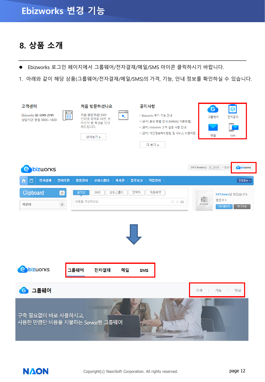#### **8. 상품 소개**

- ⚫ Ebizworks 로그인 페이지에서 그룹웨어/전자결재/메일/SMS 아이콘 클릭하시기 바랍니다.
- 1. 아래와 같이 해당 상품(그룹웨어/전자결재/메일/SMS)의 가격, 기능, 안내 정보를 확인하실 수 있습니다.

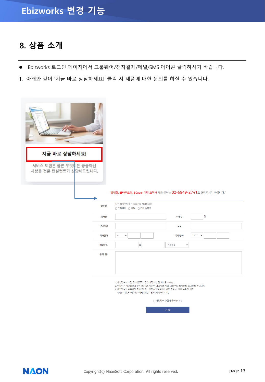#### **8. 상품 소개**

- Ebizworks 로그인 페이지에서 그룹웨어/전자결재/메일/SMS 아이콘 클릭하시기 바랍니다.
- 1. 아래와 같이 '지금 바로 상담하세요!' 클릭 시 제품에 대한 문의를 하실 수 있습니다.

| 지금 바로 상담하세요!                                  |      |                                                                                                                                                                                                  |                      |                     |
|-----------------------------------------------|------|--------------------------------------------------------------------------------------------------------------------------------------------------------------------------------------------------|----------------------|---------------------|
| 서비스 도입은 물론 무엇이든 궁금하신<br>사항을 전문 컨설턴트가 상담해드립니다. |      |                                                                                                                                                                                                  |                      |                     |
|                                               |      |                                                                                                                                                                                                  |                      |                     |
|                                               |      | "임대형, 클라우드형, 50user 미만 고객사 제품 문의는 02-6949-2741로 연락주시기 바랍니다."                                                                                                                                     |                      |                     |
|                                               |      |                                                                                                                                                                                                  |                      |                     |
|                                               | 솔루션  | 문의 하시고자 하는 솔루션을 선택하세요.<br>□ 그룹웨어 □ 포탈 □ 기타 솔루션                                                                                                                                                   |                      |                     |
|                                               | 회사명  |                                                                                                                                                                                                  | 직원수                  | 명                   |
|                                               | 담당자명 |                                                                                                                                                                                                  | 직함                   |                     |
|                                               | 회사전화 | 02<br>$\checkmark$                                                                                                                                                                               | 휴대전화                 | 010<br>$\checkmark$ |
|                                               | 메일주소 | $\circledcirc$                                                                                                                                                                                   | 직접입력<br>$\checkmark$ |                     |
|                                               | 문의내용 |                                                                                                                                                                                                  |                      |                     |
|                                               |      |                                                                                                                                                                                                  |                      |                     |
|                                               |      |                                                                                                                                                                                                  |                      |                     |
|                                               |      | 1. 개인정보의 수집 및 이용목적 : 접수내역 확인 및 처리결과 회신<br>2 수집하는 개인정보의 항목 : 회사명, 직원수, 담당자명, 직함, 메일주소, 회사전화, 휴대전화, 문의내용<br>3. 개인정보의 보유기간 및 이용기간 : 상담 신청일로부터 사업 종료 시 까지 보유 및 이용<br>자세한 내용은 '개인정보처리방침'을 확인하시기 바랍니다. |                      |                     |
|                                               |      |                                                                                                                                                                                                  | □ 개인정보 수집에 동의합니다.    |                     |
|                                               |      |                                                                                                                                                                                                  | 등록                   |                     |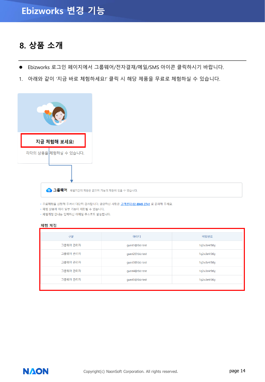#### **8. 상품 소개**

- ⚫ Ebizworks 로그인 페이지에서 그룹웨어/전자결재/메일/SMS 아이콘 클릭하시기 바랍니다.
- 1. 아래와 같이 '지금 바로 체험하세요!' 클릭 시 해당 제품을 무료로 체험하실 수 있습니다.



6 그룹웨어 체험기간의 제한은 없으며 기능의 제한이 있을 수 있습니다.

• 무료체험을 신청해 주셔서 대단히 감사합니다. 궁금하신 사항은 <u>고객센터 02-6949-2741</u> 로 문의해 주세요.

• 체험 상품에 따라 일부 기능이 제한될 수 있습니다.

• 체험계정 안내는 입력하신 이메일 주소로도 발송됩니다.

#### 체험 계정

| 구분       | 아이디              | 비밀번호         |
|----------|------------------|--------------|
| 그룹웨어 관리자 | guest1@tbiz-test | 1q2w3e4r5t6y |
| 그룹웨어 관리자 | quest2@tbiz-test | 1q2w3e4r5t6y |
| 그룹웨어 관리자 | quest3@tbiz-test | 1q2w3e4r5t6y |
| 그룹웨어 관리자 | quest4@tbiz-test | 1q2w3e4r5t6y |
| 그룹웨어 관리자 | quest5@tbiz-test | 1q2w3e4r5t6y |
|          |                  |              |